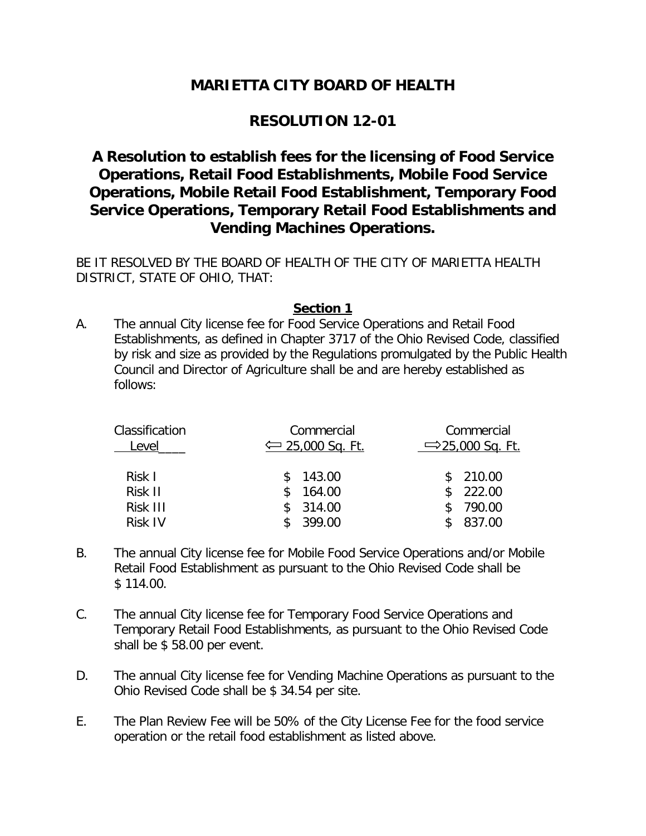# **MARIETTA CITY BOARD OF HEALTH**

## **RESOLUTION 12-01**

# **A Resolution to establish fees for the licensing of Food Service Operations, Retail Food Establishments, Mobile Food Service Operations, Mobile Retail Food Establishment, Temporary Food Service Operations, Temporary Retail Food Establishments and Vending Machines Operations.**

BE IT RESOLVED BY THE BOARD OF HEALTH OF THE CITY OF MARIETTA HEALTH DISTRICT, STATE OF OHIO, THAT:

### **Section 1**

A. The annual City license fee for Food Service Operations and Retail Food Establishments, as defined in Chapter 3717 of the Ohio Revised Code, classified by risk and size as provided by the Regulations promulgated by the Public Health Council and Director of Agriculture shall be and are hereby established as follows:

| Commercial                  | Commercial                   |
|-----------------------------|------------------------------|
| $\leftarrow$ 25,000 Sq. Ft. | $\Rightarrow$ 25,000 Sq. Ft. |
| 143.00                      | \$210.00                     |
| 164.00                      | 222.00                       |
| 314.00                      | 790.00                       |
| 399.00                      | 837.00                       |
|                             |                              |

- B. The annual City license fee for Mobile Food Service Operations and/or Mobile Retail Food Establishment as pursuant to the Ohio Revised Code shall be \$ 114.00.
- C. The annual City license fee for Temporary Food Service Operations and Temporary Retail Food Establishments, as pursuant to the Ohio Revised Code shall be \$ 58.00 per event.
- D. The annual City license fee for Vending Machine Operations as pursuant to the Ohio Revised Code shall be \$ 34.54 per site.
- E. The Plan Review Fee will be 50% of the City License Fee for the food service operation or the retail food establishment as listed above.